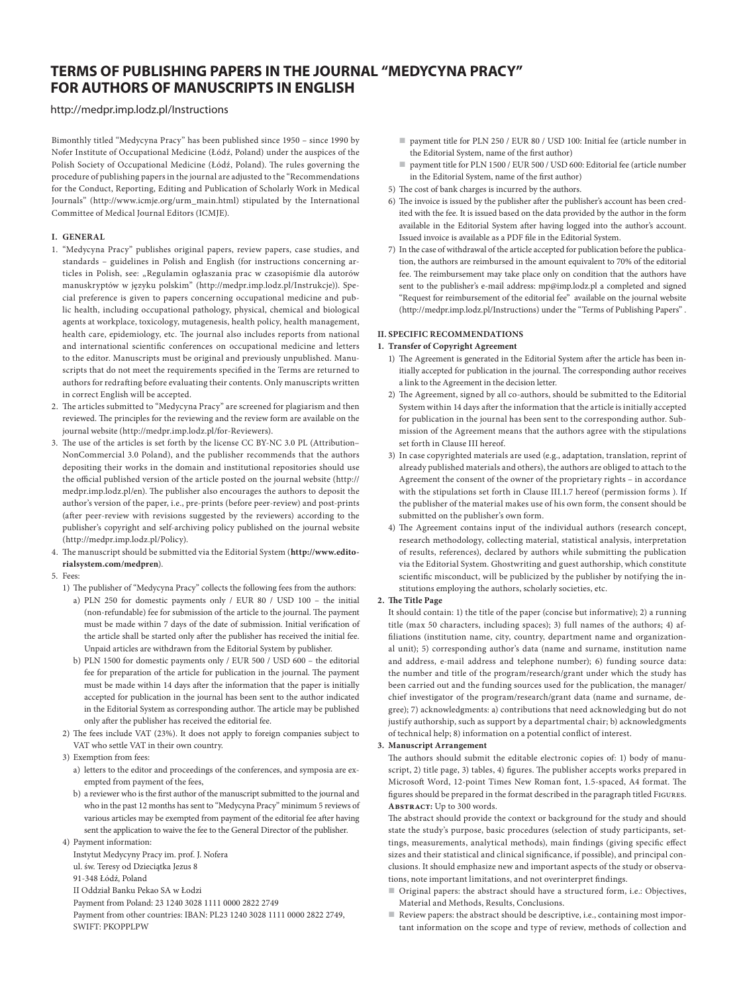# **TERMS OF PUBLISHING PAPERS IN THE JOURNAL "MEDYCYNA PRACY" FOR AUTHORS OF MANUSCRIPTS IN ENGLISH**

<http://medpr.imp.lodz.pl/Instructions>

Bimonthly titled "Medycyna Pracy" has been published since 1950 – since 1990 by Nofer Institute of Occupational Medicine (Łódź, Poland) under the auspices of the Polish Society of Occupational Medicine (Łódź, Poland). The rules governing the procedure of publishing papers in the journal are adjusted to the "Recommendations for the Conduct, Reporting, Editing and Publication of Scholarly Work in Medical Journals" [\(http://www.icmje.org/urm\\_main.html](http://www.icmje.org/urm_main.html)) stipulated by the International Committee of Medical Journal Editors (ICMJE).

#### **I. GENERAL**

- 1. "Medycyna Pracy" publishes original papers, review papers, case studies, and standards – guidelines in Polish and English (for instructions concerning articles in Polish, see: "Regulamin ogłaszania prac w czasopiśmie dla autorów manuskryptów w języku polskim" [\(http://medpr.imp.lodz.pl/Instrukcje\)](http://medpr.imp.lodz.pl/Instrukcje)). Special preference is given to papers concerning occupational medicine and public health, including occupational pathology, physical, chemical and biological agents at workplace, toxicology, mutagenesis, health policy, health management, health care, epidemiology, etc. The journal also includes reports from national and international scientific conferences on occupational medicine and letters to the editor. Manuscripts must be original and previously unpublished. Manuscripts that do not meet the requirements specified in the Terms are returned to authors for redrafting before evaluating their contents. Only manuscripts written in correct English will be accepted.
- 2. The articles submitted to "Medycyna Pracy" are screened for plagiarism and then reviewed. The principles for the reviewing and the review form are available on the journal website [\(http://medpr.imp.lodz.pl/for-Reviewers](http://medpr.imp.lodz.pl/for-Reviewers)).
- 3. The use of the articles is set forth by the license CC BY-NC 3.0 PL (Attribution– NonCommercial 3.0 Poland), and the publisher recommends that the authors depositing their works in the domain and institutional repositories should use the official published version of the article posted on the journal website ([http://](http://medpr.imp.lodz.pl/en) [medpr.imp.lodz.pl/en\)](http://medpr.imp.lodz.pl/en). The publisher also encourages the authors to deposit the author's version of the paper, i.e., pre-prints (before peer-review) and post-prints (after peer-review with revisions suggested by the reviewers) according to the publisher's copyright and self-archiving policy published on the journal website (http://medpr.imp.lodz.pl/Policy).
- 4. The manuscript should be submitted via the Editorial System (**[http://www.edito](http://www.editorialsystem.com/medpren)[rialsystem.com/medpren](http://www.editorialsystem.com/medpren)**).
- 5. Fees:
	- 1) The publisher of "Medycyna Pracy" collects the following fees from the authors:
		- a) PLN 250 for domestic payments only / EUR 80 / USD 100 the initial (non-refundable) fee for submission of the article to the journal. The payment must be made within 7 days of the date of submission. Initial verification of the article shall be started only after the publisher has received the initial fee. Unpaid articles are withdrawn from the Editorial System by publisher.
		- b) PLN 1500 for domestic payments only / EUR 500 / USD 600 the editorial fee for preparation of the article for publication in the journal. The payment must be made within 14 days after the information that the paper is initially accepted for publication in the journal has been sent to the author indicated in the Editorial System as corresponding author. The article may be published only after the publisher has received the editorial fee.
	- 2) The fees include VAT (23%). It does not apply to foreign companies subject to VAT who settle VAT in their own country.
	- 3) Exemption from fees:
		- a) letters to the editor and proceedings of the conferences, and symposia are exempted from payment of the fees,
		- b) a reviewer who is the first author of the manuscript submitted to the journal and who in the past 12 months has sent to "Medycyna Pracy" minimum 5 reviews of various articles may be exempted from payment of the editorial fee after having sent the application to waive the fee to the General Director of the publisher.
	- 4) Payment information:
		- Instytut Medycyny Pracy im. prof. J. Nofera
		- ul. św. Teresy od Dzieciątka Jezus 8
		- 91-348 Łódź, Poland
		- II Oddział Banku Pekao SA w Łodzi

Payment from Poland: 23 1240 3028 1111 0000 2822 2749

Payment from other countries: IBAN: PL23 1240 3028 1111 0000 2822 2749, SWIFT: PKOPPLPW

- payment title for PLN 250 / EUR 80 / USD 100: Initial fee (article number in the Editorial System, name of the first author)
- payment title for PLN 1500 / EUR 500 / USD 600: Editorial fee (article number in the Editorial System, name of the first author)
- 5) The cost of bank charges is incurred by the authors.
- 6) The invoice is issued by the publisher after the publisher's account has been credited with the fee. It is issued based on the data provided by the author in the form available in the Editorial System after having logged into the author's account. Issued invoice is available as a PDF file in the Editorial System.
- 7) In the case of withdrawal of the article accepted for publication before the publication, the authors are reimbursed in the amount equivalent to 70% of the editorial fee. The reimbursement may take place only on condition that the authors have sent to the publisher's e-mail address: [mp@imp.lodz.pl](mailto:mp@imp.lodz.pl) a completed and signed "Request for reimbursement of the editorial fee" available on the journal website ([http://medpr.imp.lodz.pl/Instructions\)](http://medpr.imp.lodz.pl/Instructions) under the "Terms of Publishing Papers" .

## **II. SPECIFIC RECOMMENDATIONS**

### **1. Transfer of Copyright Agreement**

- 1) The Agreement is generated in the Editorial System after the article has been initially accepted for publication in the journal. The corresponding author receives a link to the Agreement in the decision letter.
- 2) The Agreement, signed by all co-authors, should be submitted to the Editorial System within 14 days after the information that the article is initially accepted for publication in the journal has been sent to the corresponding author. Submission of the Agreement means that the authors agree with the stipulations set forth in Clause III hereof.
- 3) In case copyrighted materials are used (e.g., adaptation, translation, reprint of already published materials and others), the authors are obliged to attach to the Agreement the consent of the owner of the proprietary rights – in accordance with the stipulations set forth in Clause III.1.7 hereof (permission forms ). If the publisher of the material makes use of his own form, the consent should be submitted on the publisher's own form.
- 4) The Agreement contains input of the individual authors (research concept, research methodology, collecting material, statistical analysis, interpretation of results, references), declared by authors while submitting the publication via the Editorial System. Ghostwriting and guest authorship, which constitute scientific misconduct, will be publicized by the publisher by notifying the institutions employing the authors, scholarly societies, etc.

#### **2. The Title Page**

It should contain: 1) the title of the paper (concise but informative); 2) a running title (max 50 characters, including spaces); 3) full names of the authors; 4) affiliations (institution name, city, country, department name and organizational unit); 5) corresponding author's data (name and surname, institution name and address, e-mail address and telephone number); 6) funding source data: the number and title of the program/research/grant under which the study has been carried out and the funding sources used for the publication, the manager/ chief investigator of the program/research/grant data (name and surname, degree); 7) acknowledgments: a) contributions that need acknowledging but do not justify authorship, such as support by a departmental chair; b) acknowledgments of technical help; 8) information on a potential conflict of interest.

#### **3. Manuscript Arrangement**

The authors should submit the editable electronic copies of: 1) body of manuscript, 2) title page, 3) tables, 4) figures. The publisher accepts works prepared in Microsoft Word, 12-point Times New Roman font, 1.5-spaced, A4 format. The figures should be prepared in the format described in the paragraph titled Figures. **Abstract:** Up to 300 words.

The abstract should provide the context or background for the study and should state the study's purpose, basic procedures (selection of study participants, settings, measurements, analytical methods), main findings (giving specific effect sizes and their statistical and clinical significance, if possible), and principal conclusions. It should emphasize new and important aspects of the study or observations, note important limitations, and not overinterpret findings.

- Original papers: the abstract should have a structured form, i.e.: Objectives, Material and Methods, Results, Conclusions.
- Review papers: the abstract should be descriptive, i.e., containing most important information on the scope and type of review, methods of collection and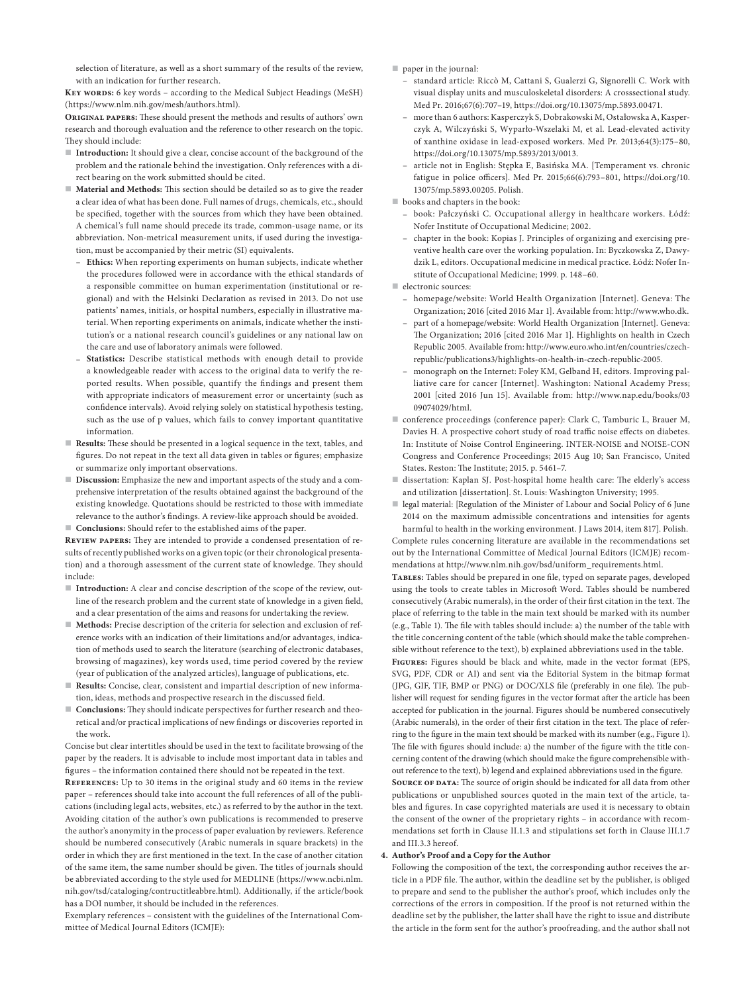selection of literature, as well as a short summary of the results of the review, with an indication for further research.

**Key words:** 6 key words – according to the Medical Subject Headings (MeSH) (https://www.nlm.nih.gov/mesh/authors.html).

**Original papers:** These should present the methods and results of authors' own research and thorough evaluation and the reference to other research on the topic. They should include:

- **Introduction:** It should give a clear, concise account of the background of the problem and the rationale behind the investigation. Only references with a direct bearing on the work submitted should be cited.
- **Material and Methods:** This section should be detailed so as to give the reader a clear idea of what has been done. Full names of drugs, chemicals, etc., should be specified, together with the sources from which they have been obtained. A chemical's full name should precede its trade, common-usage name, or its abbreviation. Non-metrical measurement units, if used during the investigation, must be accompanied by their metric (SI) equivalents.
	- **Ethics:** When reporting experiments on human subjects, indicate whether the procedures followed were in accordance with the ethical standards of a responsible committee on human experimentation (institutional or regional) and with the Helsinki Declaration as revised in 2013. Do not use patients' names, initials, or hospital numbers, especially in illustrative material. When reporting experiments on animals, indicate whether the institution's or a national research council's guidelines or any national law on the care and use of laboratory animals were followed.
	- **Statistics:** Describe statistical methods with enough detail to provide a knowledgeable reader with access to the original data to verify the reported results. When possible, quantify the findings and present them with appropriate indicators of measurement error or uncertainty (such as confidence intervals). Avoid relying solely on statistical hypothesis testing, such as the use of p values, which fails to convey important quantitative information.
- **Results:** These should be presented in a logical sequence in the text, tables, and figures. Do not repeat in the text all data given in tables or figures; emphasize or summarize only important observations.
- **Discussion:** Emphasize the new and important aspects of the study and a comprehensive interpretation of the results obtained against the background of the existing knowledge. Quotations should be restricted to those with immediate relevance to the author's findings. A review-like approach should be avoided.
- **Conclusions:** Should refer to the established aims of the paper.

**Review papers:** They are intended to provide a condensed presentation of results of recently published works on a given topic (or their chronological presentation) and a thorough assessment of the current state of knowledge. They should include:

- Introduction: A clear and concise description of the scope of the review, outline of the research problem and the current state of knowledge in a given field, and a clear presentation of the aims and reasons for undertaking the review.
- **Methods:** Precise description of the criteria for selection and exclusion of reference works with an indication of their limitations and/or advantages, indication of methods used to search the literature (searching of electronic databases, browsing of magazines), key words used, time period covered by the review (year of publication of the analyzed articles), language of publications, etc.
- **Results:** Concise, clear, consistent and impartial description of new information, ideas, methods and prospective research in the discussed field.
- **Conclusions:** They should indicate perspectives for further research and theoretical and/or practical implications of new findings or discoveries reported in the work.

Concise but clear intertitles should be used in the text to facilitate browsing of the paper by the readers. It is advisable to include most important data in tables and figures – the information contained there should not be repeated in the text.

**References:** Up to 30 items in the original study and 60 items in the review paper – references should take into account the full references of all of the publications (including legal acts, websites, etc.) as referred to by the author in the text. Avoiding citation of the author's own publications is recommended to preserve the author's anonymity in the process of paper evaluation by reviewers. Reference should be numbered consecutively (Arabic numerals in square brackets) in the order in which they are first mentioned in the text. In the case of another citation of the same item, the same number should be given. The titles of journals should be abbreviated according to the style used for MEDLINE (https://www.ncbi.nlm. nih.gov/tsd/cataloging/contructitleabbre.html). Additionally, if the article/book has a DOI number, it should be included in the references.

Exemplary references – consistent with the guidelines of the International Committee of Medical Journal Editors (ICMJE):

- paper in the journal:
	- standard article: Riccò M, Cattani S, Gualerzi G, Signorelli C. Work with visual display units and musculoskeletal disorders: A crosssectional study. Med Pr. 2016;67(6):707–19,<https://doi.org/10.13075/mp.5893.00471>.
	- more than 6 authors: Kasperczyk S, Dobrakowski M, Ostałowska A, Kasperczyk A, Wilczyński S, Wyparło-Wszelaki M, et al. Lead-elevated activity of xanthine oxidase in lead-exposed workers. Med Pr. 2013;64(3):175–80, <https://doi.org/10.13075/mp.5893/2013/0013>.
	- article not in English: Stępka E, Basińska MA. [Temperament vs. chronic fatigue in police officers]. Med Pr. 2015;66(6):793–801, [https://doi.org/10.](https://doi.org/10.13075/mp.5893.00205) [13075/mp.5893.00205.](https://doi.org/10.13075/mp.5893.00205) Polish.
- books and chapters in the book:
	- book: Pałczyński C. Occupational allergy in healthcare workers. Łódź: Nofer Institute of Occupational Medicine; 2002.
	- chapter in the book: Kopias J. Principles of organizing and exercising preventive health care over the working population. In: Byczkowska Z, Dawydzik L, editors. Occupational medicine in medical practice. Łódź: Nofer Institute of Occupational Medicine; 1999. p. 148–60.
- $\blacksquare$  electronic sources:
	- homepage/website: World Health Organization [Internet]. Geneva: The Organization; 2016 [cited 2016 Mar 1]. Available from: <http://www.who.dk>.
	- part of a homepage/website: World Health Organization [Internet]. Geneva: The Organization; 2016 [cited 2016 Mar 1]. Highlights on health in Czech Republic 2005. Available from: [http://www.euro.who.int/en/countries/czech](http://www.euro.who.int/en/countries/czech-republic/publications3/highlights-on-health-in-czech-republic-2005)[republic/publications3/highlights-on-health-in-czech-republic-2005](http://www.euro.who.int/en/countries/czech-republic/publications3/highlights-on-health-in-czech-republic-2005).
	- monograph on the Internet: Foley KM, Gelband H, editors. Improving palliative care for cancer [Internet]. Washington: National Academy Press; 2001 [cited 2016 Jun 15]. Available from: [http://www.nap.edu/books/03](http://www.nap.edu/books/0309074029/html) [09074029/html.](http://www.nap.edu/books/0309074029/html)
- conference proceedings (conference paper): Clark C, Tamburic L, Brauer M, Davies H. A prospective cohort study of road traffic noise effects on diabetes. In: Institute of Noise Control Engineering. INTER-NOISE and NOISE-CON Congress and Conference Proceedings; 2015 Aug 10; San Francisco, United States. Reston: The Institute; 2015. p. 5461–7.
- dissertation: Kaplan SJ. Post-hospital home health care: The elderly's access and utilization [dissertation]. St. Louis: Washington University; 1995.
- legal material: [Regulation of the Minister of Labour and Social Policy of 6 June 2014 on the maximum admissible concentrations and intensities for agents harmful to health in the working environment. J Laws 2014, item 817]. Polish.

Complete rules concerning literature are available in the recommendations set out by the International Committee of Medical Journal Editors (ICMJE) recommendations at [http://www.nlm.nih.gov/bsd/uniform\\_requirements.html.](http://www.nlm.nih.gov/bsd/uniform_requirements.html)

**Tables:** Tables should be prepared in one file, typed on separate pages, developed using the tools to create tables in Microsoft Word. Tables should be numbered consecutively (Arabic numerals), in the order of their first citation in the text. The place of referring to the table in the main text should be marked with its number (e.g., Table 1). The file with tables should include: a) the number of the table with the title concerning content of the table (which should make the table comprehensible without reference to the text), b) explained abbreviations used in the table.

**Figures:** Figures should be black and white, made in the vector format (EPS, SVG, PDF, CDR or AI) and sent via the Editorial System in the bitmap format (JPG, GIF, TIF, BMP or PNG) or DOC/XLS file (preferably in one file). The publisher will request for sending figures in the vector format after the article has been accepted for publication in the journal. Figures should be numbered consecutively (Arabic numerals), in the order of their first citation in the text. The place of referring to the figure in the main text should be marked with its number (e.g., Figure 1). The file with figures should include: a) the number of the figure with the title concerning content of the drawing (which should make the figure comprehensible without reference to the text), b) legend and explained abbreviations used in the figure.

SOURCE OF DATA: The source of origin should be indicated for all data from other publications or unpublished sources quoted in the main text of the article, tables and figures. In case copyrighted materials are used it is necessary to obtain the consent of the owner of the proprietary rights – in accordance with recommendations set forth in Clause II.1.3 and stipulations set forth in Clause III.1.7 and III.3.3 hereof.

#### **4. Author's Proof and a Copy for the Author**

Following the composition of the text, the corresponding author receives the article in a PDF file. The author, within the deadline set by the publisher, is obliged to prepare and send to the publisher the author's proof, which includes only the corrections of the errors in composition. If the proof is not returned within the deadline set by the publisher, the latter shall have the right to issue and distribute the article in the form sent for the author's proofreading, and the author shall not